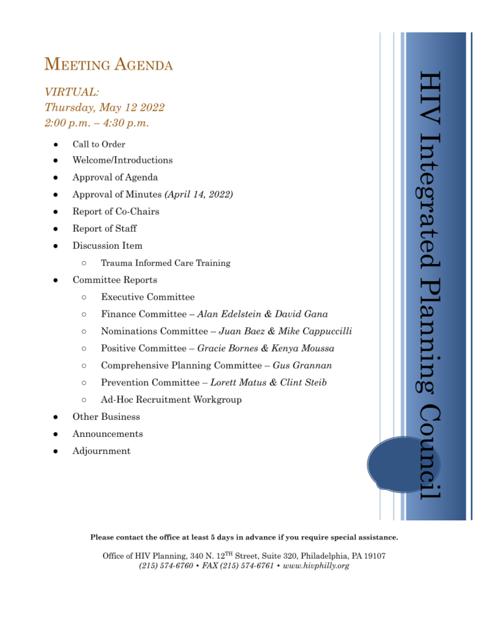# **MEETING AGENDA**

**VIRTUAL:** Thursday, May 12 2022  $2:00 p.m. - 4:30 p.m.$ 

- Call to Order
- Welcome/Introductions
- Approval of Agenda
- Approval of Minutes (April 14, 2022)
- Report of Co-Chairs
- Report of Staff
- Discussion Item
	- $\circ$ Trauma Informed Care Training
- Committee Reports
	- **Executive Committee**  $\circ$
	- Finance Committee Alan Edelstein & David Gana  $\circ$
	- Nominations Committee Juan Baez & Mike Cappuccilli  $\circ$
	- Positive Committee Gracie Bornes & Kenya Moussa  $\circ$
	- Comprehensive Planning Committee Gus Grannan  $\circ$
	- Prevention Committee Lorett Matus & Clint Steib  $\circ$
	- Ad-Hoc Recruitment Workgroup O
- Other Business
- Announcements
- Adjournment



#### Please contact the office at least 5 days in advance if you require special assistance.

Office of HIV Planning, 340 N. 12<sup>TH</sup> Street, Suite 320, Philadelphia, PA 19107 (215) 574-6760 • FAX (215) 574-6761 • www.hivphilly.org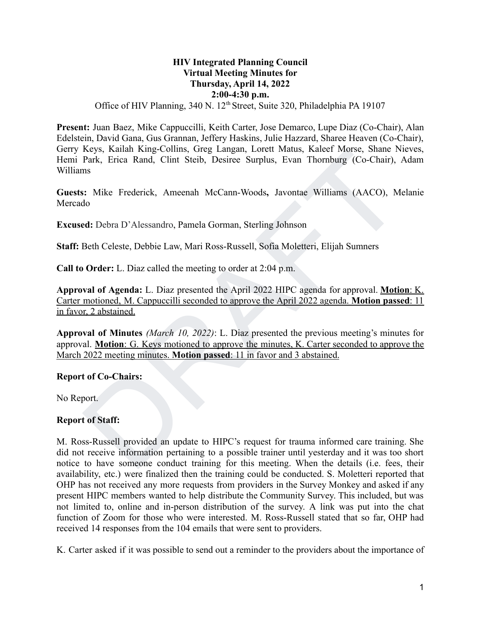## **HIV Integrated Planning Council Virtual Meeting Minutes for Thursday, April 14, 2022 2:00-4:30 p.m.**

## Office of HIV Planning, 340 N. 12<sup>th</sup> Street, Suite 320, Philadelphia PA 19107

**Present:** Juan Baez, Mike Cappuccilli, Keith Carter, Jose Demarco, Lupe Diaz (Co-Chair), Alan Edelstein, David Gana, Gus Grannan, Jeffery Haskins, Julie Hazzard, Sharee Heaven (Co-Chair), Gerry Keys, Kailah King-Collins, Greg Langan, Lorett Matus, Kaleef Morse, Shane Nieves, Hemi Park, Erica Rand, Clint Steib, Desiree Surplus, Evan Thornburg (Co-Chair), Adam Williams

**Guests:** Mike Frederick, Ameenah McCann-Woods**,** Javontae Williams (AACO), Melanie Mercado

**Excused:** Debra D'Alessandro, Pamela Gorman, Sterling Johnson

**Staff:** Beth Celeste, Debbie Law, Mari Ross-Russell, Sofia Moletteri, Elijah Sumners

**Call to Order:** L. Diaz called the meeting to order at 2:04 p.m.

**Approval of Agenda:** L. Diaz presented the April 2022 HIPC agenda for approval. **Motion**: K. Carter motioned, M. Cappuccilli seconded to approve the April 2022 agenda. **Motion passed**: 11 in favor, 2 abstained.

**Approval of Minutes** *(March 10, 2022)*: L. Diaz presented the previous meeting's minutes for approval. **Motion**: G. Keys motioned to approve the minutes, K. Carter seconded to approve the March 2022 meeting minutes. **Motion passed**: 11 in favor and 3 abstained.

#### **Report of Co-Chairs:**

No Report.

#### **Report of Staff:**

Keys, Kailah King-Collins, Greg Langan, Lorett Matus, Kaleer Morse, Shane Ni<br>
Rark, Frica Rand, Clint Steib, Desiree Surplus, Fivan Thornburg (Co-Chair), *A*<br>
Brak, Frica Rand, Clint Steib, Desiree Surplus, Fivan Thornburg M. Ross-Russell provided an update to HIPC's request for trauma informed care training. She did not receive information pertaining to a possible trainer until yesterday and it was too short notice to have someone conduct training for this meeting. When the details (i.e. fees, their availability, etc.) were finalized then the training could be conducted. S. Moletteri reported that OHP has not received any more requests from providers in the Survey Monkey and asked if any present HIPC members wanted to help distribute the Community Survey. This included, but was not limited to, online and in-person distribution of the survey. A link was put into the chat function of Zoom for those who were interested. M. Ross-Russell stated that so far, OHP had received 14 responses from the 104 emails that were sent to providers.

K. Carter asked if it was possible to send out a reminder to the providers about the importance of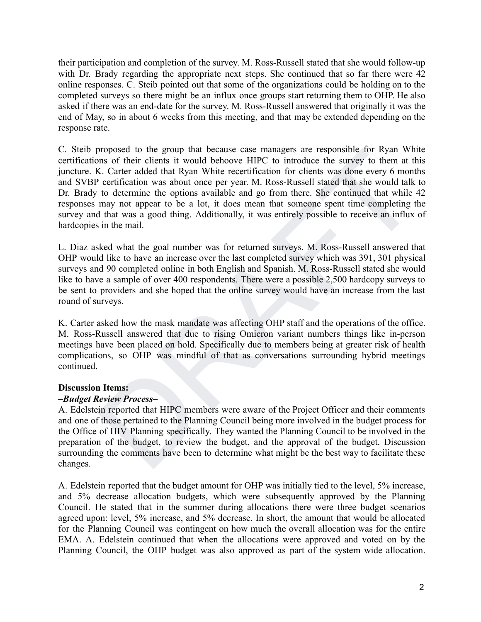their participation and completion of the survey. M. Ross-Russell stated that she would follow-up with Dr. Brady regarding the appropriate next steps. She continued that so far there were 42 online responses. C. Steib pointed out that some of the organizations could be holding on to the completed surveys so there might be an influx once groups start returning them to OHP. He also asked if there was an end-date for the survey. M. Ross-Russell answered that originally it was the end of May, so in about 6 weeks from this meeting, and that may be extended depending on the response rate.

proposed to the group that because changers are responsible for Kyan White<br>the between the business of their clients it would behove HIPC to introduce the survey to them at this<br>K. Carter added that Ryan White recertificat C. Steib proposed to the group that because case managers are responsible for Ryan White certifications of their clients it would behoove HIPC to introduce the survey to them at this juncture. K. Carter added that Ryan White recertification for clients was done every 6 months and SVBP certification was about once per year. M. Ross-Russell stated that she would talk to Dr. Brady to determine the options available and go from there. She continued that while 42 responses may not appear to be a lot, it does mean that someone spent time completing the survey and that was a good thing. Additionally, it was entirely possible to receive an influx of hardcopies in the mail.

L. Diaz asked what the goal number was for returned surveys. M. Ross-Russell answered that OHP would like to have an increase over the last completed survey which was 391, 301 physical surveys and 90 completed online in both English and Spanish. M. Ross-Russell stated she would like to have a sample of over 400 respondents. There were a possible 2,500 hardcopy surveys to be sent to providers and she hoped that the online survey would have an increase from the last round of surveys.

K. Carter asked how the mask mandate was affecting OHP staff and the operations of the office. M. Ross-Russell answered that due to rising Omicron variant numbers things like in-person meetings have been placed on hold. Specifically due to members being at greater risk of health complications, so OHP was mindful of that as conversations surrounding hybrid meetings continued.

#### **Discussion Items:**

#### *–Budget Review Process–*

A. Edelstein reported that HIPC members were aware of the Project Officer and their comments and one of those pertained to the Planning Council being more involved in the budget process for the Office of HIV Planning specifically. They wanted the Planning Council to be involved in the preparation of the budget, to review the budget, and the approval of the budget. Discussion surrounding the comments have been to determine what might be the best way to facilitate these changes.

A. Edelstein reported that the budget amount for OHP was initially tied to the level, 5% increase, and 5% decrease allocation budgets, which were subsequently approved by the Planning Council. He stated that in the summer during allocations there were three budget scenarios agreed upon: level, 5% increase, and 5% decrease. In short, the amount that would be allocated for the Planning Council was contingent on how much the overall allocation was for the entire EMA. A. Edelstein continued that when the allocations were approved and voted on by the Planning Council, the OHP budget was also approved as part of the system wide allocation.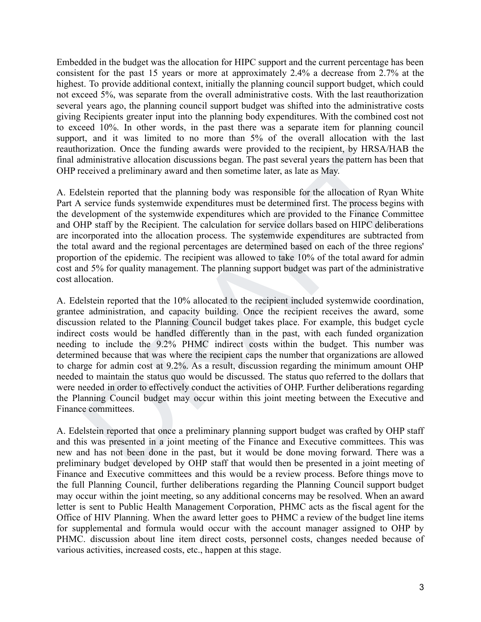Embedded in the budget was the allocation for HIPC support and the current percentage has been consistent for the past 15 years or more at approximately 2.4% a decrease from 2.7% at the highest. To provide additional context, initially the planning council support budget, which could not exceed 5%, was separate from the overall administrative costs. With the last reauthorization several years ago, the planning council support budget was shifted into the administrative costs giving Recipients greater input into the planning body expenditures. With the combined cost not to exceed 10%. In other words, in the past there was a separate item for planning council support, and it was limited to no more than 5% of the overall allocation with the last reauthorization. Once the funding awards were provided to the recipient, by HRSA/HAB the final administrative allocation discussions began. The past several years the pattern has been that OHP received a preliminary award and then sometime later, as late as May.

A. Edelstein reported that the planning body was responsible for the allocation of Ryan White Part A service funds systemwide expenditures must be determined first. The process begins with the development of the systemwide expenditures which are provided to the Finance Committee and OHP staff by the Recipient. The calculation for service dollars based on HIPC deliberations are incorporated into the allocation process. The systemwide expenditures are subtracted from the total award and the regional percentages are determined based on each of the three regions' proportion of the epidemic. The recipient was allowed to take 10% of the total award for admin cost and 5% for quality management. The planning support budget was part of the administrative cost allocation.

orization. Once the tunang awards were provided to the reeptent, by HRSA/HAI<br>dministrative allocation discussions began. The past several years the pattern has been<br>eceived a preliminary award and then sometime later, as A. Edelstein reported that the 10% allocated to the recipient included systemwide coordination, grantee administration, and capacity building. Once the recipient receives the award, some discussion related to the Planning Council budget takes place. For example, this budget cycle indirect costs would be handled differently than in the past, with each funded organization needing to include the 9.2% PHMC indirect costs within the budget. This number was determined because that was where the recipient caps the number that organizations are allowed to charge for admin cost at 9.2%. As a result, discussion regarding the minimum amount OHP needed to maintain the status quo would be discussed. The status quo referred to the dollars that were needed in order to effectively conduct the activities of OHP. Further deliberations regarding the Planning Council budget may occur within this joint meeting between the Executive and Finance committees.

A. Edelstein reported that once a preliminary planning support budget was crafted by OHP staff and this was presented in a joint meeting of the Finance and Executive committees. This was new and has not been done in the past, but it would be done moving forward. There was a preliminary budget developed by OHP staff that would then be presented in a joint meeting of Finance and Executive committees and this would be a review process. Before things move to the full Planning Council, further deliberations regarding the Planning Council support budget may occur within the joint meeting, so any additional concerns may be resolved. When an award letter is sent to Public Health Management Corporation, PHMC acts as the fiscal agent for the Office of HIV Planning. When the award letter goes to PHMC a review of the budget line items for supplemental and formula would occur with the account manager assigned to OHP by PHMC. discussion about line item direct costs, personnel costs, changes needed because of various activities, increased costs, etc., happen at this stage.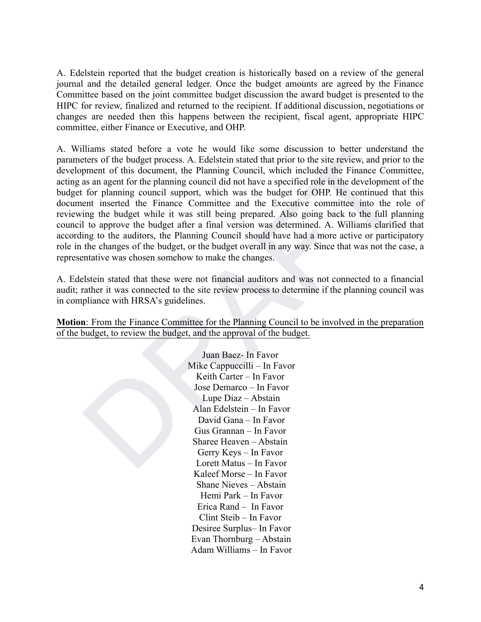A. Edelstein reported that the budget creation is historically based on a review of the general journal and the detailed general ledger. Once the budget amounts are agreed by the Finance Committee based on the joint committee budget discussion the award budget is presented to the HIPC for review, finalized and returned to the recipient. If additional discussion, negotiations or changes are needed then this happens between the recipient, fiscal agent, appropriate HIPC committee, either Finance or Executive, and OHP.

Illians state of the plane of a vole in which since some discussion to better uncerstance and the setters of the budget process. A. Edelstein stated that prior to the site review, and prior there is a negative for the pla A. Williams stated before a vote he would like some discussion to better understand the parameters of the budget process. A. Edelstein stated that prior to the site review, and prior to the development of this document, the Planning Council, which included the Finance Committee, acting as an agent for the planning council did not have a specified role in the development of the budget for planning council support, which was the budget for OHP. He continued that this document inserted the Finance Committee and the Executive committee into the role of reviewing the budget while it was still being prepared. Also going back to the full planning council to approve the budget after a final version was determined. A. Williams clarified that according to the auditors, the Planning Council should have had a more active or participatory role in the changes of the budget, or the budget overall in any way. Since that was not the case, a representative was chosen somehow to make the changes.

A. Edelstein stated that these were not financial auditors and was not connected to a financial audit; rather it was connected to the site review process to determine if the planning council was in compliance with HRSA's guidelines.

**Motion**: From the Finance Committee for the Planning Council to be involved in the preparation of the budget, to review the budget, and the approval of the budget.

> Juan Baez- In Favor Mike Cappuccilli – In Favor Keith Carter – In Favor Jose Demarco – In Favor Lupe Diaz – Abstain Alan Edelstein – In Favor David Gana – In Favor Gus Grannan – In Favor Sharee Heaven – Abstain Gerry Keys – In Favor Lorett Matus – In Favor Kaleef Morse – In Favor Shane Nieves – Abstain Hemi Park – In Favor Erica Rand – In Favor Clint Steib – In Favor Desiree Surplus– In Favor Evan Thornburg – Abstain Adam Williams – In Favor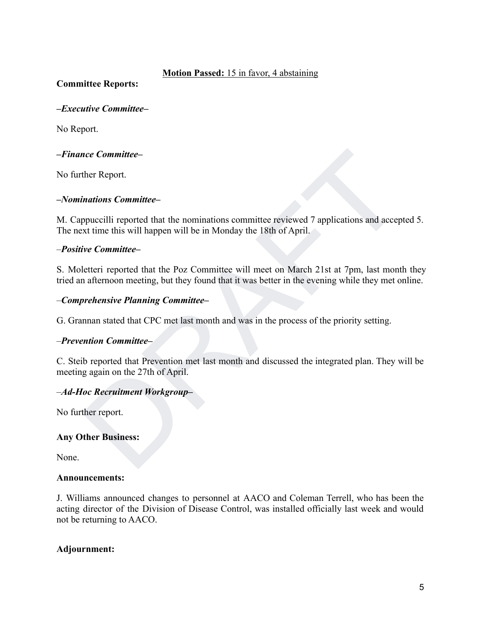#### **Motion Passed:** 15 in favor, 4 abstaining

**Committee Reports:**

## *–Executive Committee–*

No Report.

## *–Finance Committee–*

No further Report.

#### *–Nominations Committee–*

net Committee-<br>ther Report.<br>inations Committee-<br>ppuccilli reported that the nominations committee reviewed 7 applications and accepted that time this will happen will be in Monday the 18th of April.<br>Five Committee-<br>the let M. Cappuccilli reported that the nominations committee reviewed 7 applications and accepted 5. The next time this will happen will be in Monday the 18th of April.

## *–Positive Committee–*

S. Moletteri reported that the Poz Committee will meet on March 21st at 7pm, last month they tried an afternoon meeting, but they found that it was better in the evening while they met online.

## *–Comprehensive Planning Committee–*

G. Grannan stated that CPC met last month and was in the process of the priority setting.

#### *–Prevention Committee–*

C. Steib reported that Prevention met last month and discussed the integrated plan. They will be meeting again on the 27th of April.

#### *–Ad-Hoc Recruitment Workgroup–*

No further report.

#### **Any Other Business:**

None.

#### **Announcements:**

J. Williams announced changes to personnel at AACO and Coleman Terrell, who has been the acting director of the Division of Disease Control, was installed officially last week and would not be returning to AACO.

#### **Adjournment:**